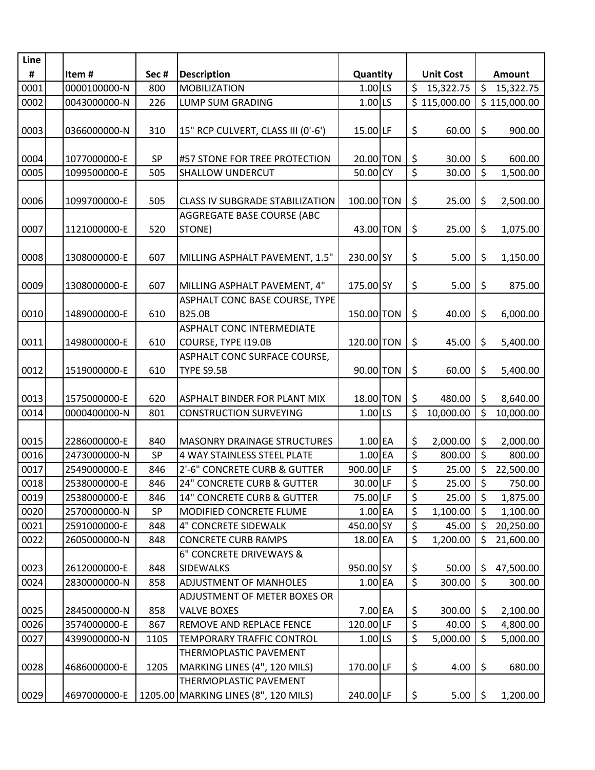| Line |              |      |                                        |            |  |                                          |                        |               |  |
|------|--------------|------|----------------------------------------|------------|--|------------------------------------------|------------------------|---------------|--|
| #    | Item#        | Sec# | <b>Description</b>                     | Quantity   |  | <b>Unit Cost</b>                         |                        | <b>Amount</b> |  |
| 0001 | 0000100000-N | 800  | <b>MOBILIZATION</b>                    | $1.00$ LS  |  | \$<br>15,322.75                          | \$                     | 15,322.75     |  |
| 0002 | 0043000000-N | 226  | LUMP SUM GRADING                       | $1.00$ LS  |  | \$115,000.00                             |                        | \$115,000.00  |  |
|      |              |      |                                        |            |  |                                          |                        |               |  |
| 0003 | 0366000000-N | 310  | 15" RCP CULVERT, CLASS III (0'-6')     | 15.00LF    |  | \$<br>60.00                              | \$                     | 900.00        |  |
|      |              |      |                                        |            |  |                                          |                        |               |  |
| 0004 | 1077000000-E | SP   | #57 STONE FOR TREE PROTECTION          | 20.00 TON  |  | \$<br>30.00                              | \$                     | 600.00        |  |
| 0005 | 1099500000-E | 505  | <b>SHALLOW UNDERCUT</b>                | 50.00 CY   |  | $\overline{\xi}$<br>30.00                | $\overline{\varsigma}$ | 1,500.00      |  |
|      |              |      |                                        |            |  |                                          |                        |               |  |
| 0006 | 1099700000-E | 505  | <b>CLASS IV SUBGRADE STABILIZATION</b> | 100.00 TON |  | \$<br>25.00                              | \$                     | 2,500.00      |  |
|      |              |      | <b>AGGREGATE BASE COURSE (ABC</b>      |            |  |                                          |                        |               |  |
| 0007 | 1121000000-E | 520  | STONE)                                 | 43.00 TON  |  | \$<br>25.00                              | \$                     | 1,075.00      |  |
| 0008 | 1308000000-E | 607  | MILLING ASPHALT PAVEMENT, 1.5"         | 230.00 SY  |  | \$<br>5.00                               | \$                     | 1,150.00      |  |
|      |              |      |                                        |            |  |                                          |                        |               |  |
| 0009 | 1308000000-E | 607  | MILLING ASPHALT PAVEMENT, 4"           | 175.00 SY  |  | \$<br>5.00                               | \$                     | 875.00        |  |
|      |              |      | ASPHALT CONC BASE COURSE, TYPE         |            |  |                                          |                        |               |  |
| 0010 | 1489000000-E | 610  | <b>B25.0B</b>                          | 150.00 TON |  | \$<br>40.00                              | $\zeta$                | 6,000.00      |  |
|      |              |      | <b>ASPHALT CONC INTERMEDIATE</b>       |            |  |                                          |                        |               |  |
| 0011 | 1498000000-E | 610  | COURSE, TYPE I19.0B                    | 120.00 TON |  | \$<br>45.00                              | \$                     | 5,400.00      |  |
|      |              |      | ASPHALT CONC SURFACE COURSE,           |            |  |                                          |                        |               |  |
| 0012 | 1519000000-E | 610  | TYPE S9.5B                             | 90.00 TON  |  | \$<br>60.00                              | \$                     |               |  |
|      |              |      |                                        |            |  |                                          |                        | 5,400.00      |  |
| 0013 | 1575000000-E | 620  | <b>ASPHALT BINDER FOR PLANT MIX</b>    | 18.00 TON  |  | \$<br>480.00                             | \$                     | 8,640.00      |  |
| 0014 | 0000400000-N | 801  | <b>CONSTRUCTION SURVEYING</b>          | LS<br>1.00 |  | $\overline{\mathcal{S}}$<br>10,000.00    | \$                     | 10,000.00     |  |
|      |              |      |                                        |            |  |                                          |                        |               |  |
| 0015 | 2286000000-E | 840  | <b>MASONRY DRAINAGE STRUCTURES</b>     | $1.00$ EA  |  | \$<br>2,000.00                           | \$                     | 2,000.00      |  |
| 0016 | 2473000000-N | SP   | 4 WAY STAINLESS STEEL PLATE            | $1.00$ EA  |  | \$<br>800.00                             | \$                     | 800.00        |  |
| 0017 | 2549000000-E | 846  | 2'-6" CONCRETE CURB & GUTTER           | 900.00 LF  |  | \$<br>25.00                              | \$                     | 22,500.00     |  |
| 0018 | 2538000000-E | 846  | <b>24" CONCRETE CURB &amp; GUTTER</b>  | 30.00LF    |  | $\overline{\boldsymbol{\zeta}}$<br>25.00 | $\zeta$                | 750.00        |  |
| 0019 | 2538000000-E | 846  | <b>14" CONCRETE CURB &amp; GUTTER</b>  | 75.00 LF   |  | \$<br>25.00                              | \$                     | 1,875.00      |  |
| 0020 | 2570000000-N | SP   | MODIFIED CONCRETE FLUME                | $1.00$ EA  |  | \$<br>1,100.00                           | \$                     | 1,100.00      |  |
| 0021 | 2591000000-E | 848  | 4" CONCRETE SIDEWALK                   | 450.00 SY  |  | $\overline{\mathcal{S}}$<br>45.00        | \$                     | 20,250.00     |  |
| 0022 | 2605000000-N | 848  | <b>CONCRETE CURB RAMPS</b>             | 18.00 EA   |  | \$<br>1,200.00                           | \$                     | 21,600.00     |  |
|      |              |      | 6" CONCRETE DRIVEWAYS &                |            |  |                                          |                        |               |  |
| 0023 | 2612000000-E | 848  | <b>SIDEWALKS</b>                       | 950.00 SY  |  | \$<br>50.00                              | \$                     | 47,500.00     |  |
| 0024 | 2830000000-N | 858  | <b>ADJUSTMENT OF MANHOLES</b>          | $1.00$ EA  |  | \$<br>300.00                             | \$                     | 300.00        |  |
|      |              |      | ADJUSTMENT OF METER BOXES OR           |            |  |                                          |                        |               |  |
| 0025 | 2845000000-N | 858  | <b>VALVE BOXES</b>                     | 7.00 EA    |  | \$<br>300.00                             | \$                     | 2,100.00      |  |
| 0026 | 3574000000-E | 867  | REMOVE AND REPLACE FENCE               | 120.00 LF  |  | \$<br>40.00                              | \$                     | 4,800.00      |  |
| 0027 | 4399000000-N | 1105 | TEMPORARY TRAFFIC CONTROL              | 1.00 LS    |  | \$<br>5,000.00                           | \$                     | 5,000.00      |  |
|      |              |      | THERMOPLASTIC PAVEMENT                 |            |  |                                          |                        |               |  |
| 0028 | 4686000000-E | 1205 | MARKING LINES (4", 120 MILS)           | 170.00 LF  |  | \$<br>4.00                               | \$                     | 680.00        |  |
|      |              |      | THERMOPLASTIC PAVEMENT                 |            |  |                                          |                        |               |  |
| 0029 | 4697000000-E |      | 1205.00 MARKING LINES (8", 120 MILS)   | 240.00 LF  |  | \$<br>5.00                               | \$                     | 1,200.00      |  |